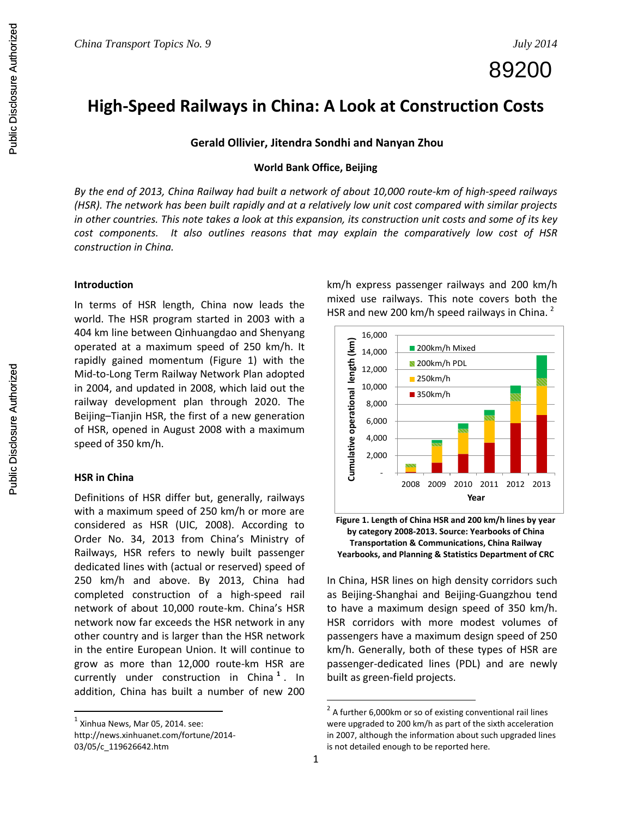89200

# **High-Speed Railways in China: A Look at Construction Costs**

# **Gerald Ollivier, Jitendra Sondhi and Nanyan Zhou**

# **World Bank Office, Beijing**

*By the end of 2013, China Railway had built a network of about 10,000 route-km of high-speed railways (HSR). The network has been built rapidly and at a relatively low unit cost compared with similar projects in other countries. This note takes a look at this expansion, its construction unit costs and some of its key cost components. It also outlines reasons that may explain the comparatively low cost of HSR construction in China.*

#### **Introduction**

In terms of HSR length, China now leads the world. The HSR program started in 2003 with a 404 km line between Qinhuangdao and Shenyang operated at a maximum speed of 250 km/h. It rapidly gained momentum (Figure 1) with the Mid-to-Long Term Railway Network Plan adopted in 2004, and updated in 2008, which laid out the railway development plan through 2020. The Beijing–Tianjin HSR, the first of a new generation of HSR, opened in August 2008 with a maximum speed of 350 km/h.

## **HSR in China**

Definitions of HSR differ but, generally, railways with a maximum speed of 250 km/h or more are considered as HSR (UIC, 2008). According to Order No. 34, 2013 from China's Ministry of Railways, HSR refers to newly built passenger dedicated lines with (actual or reserved) speed of 250 km/h and above. By 2013, China had completed construction of a high-speed rail network of about 10,000 route-km. China's HSR network now far exceeds the HSR network in any other country and is larger than the HSR network in the entire European Union. It will continue to grow as more than 12,000 route-km HSR are currently under construction in China **<sup>1</sup>** . In addition, China has built a number of new 200

l

http://news.xinhuanet.com/fortune/2014- 03/05/c\_119626642.htm

km/h express passenger railways and 200 km/h mixed use railways. This note covers both the HSR and new 200 km/h speed railways in China.<sup>2</sup>



**Figure 1. Length of China HSR and 200 km/h lines by year by category 2008-2013. Source: Yearbooks of China Transportation & Communications, China Railway Yearbooks, and Planning & Statistics Department of CRC** 

In China, HSR lines on high density corridors such as Beijing-Shanghai and Beijing-Guangzhou tend to have a maximum design speed of 350 km/h. HSR corridors with more modest volumes of passengers have a maximum design speed of 250 km/h. Generally, both of these types of HSR are passenger-dedicated lines (PDL) and are newly built as green-field projects.

 $<sup>1</sup>$  Xinhua News, Mar 05, 2014. see:</sup>

 $2$  A further 6,000km or so of existing conventional rail lines were upgraded to 200 km/h as part of the sixth acceleration in 2007, although the information about such upgraded lines is not detailed enough to be reported here.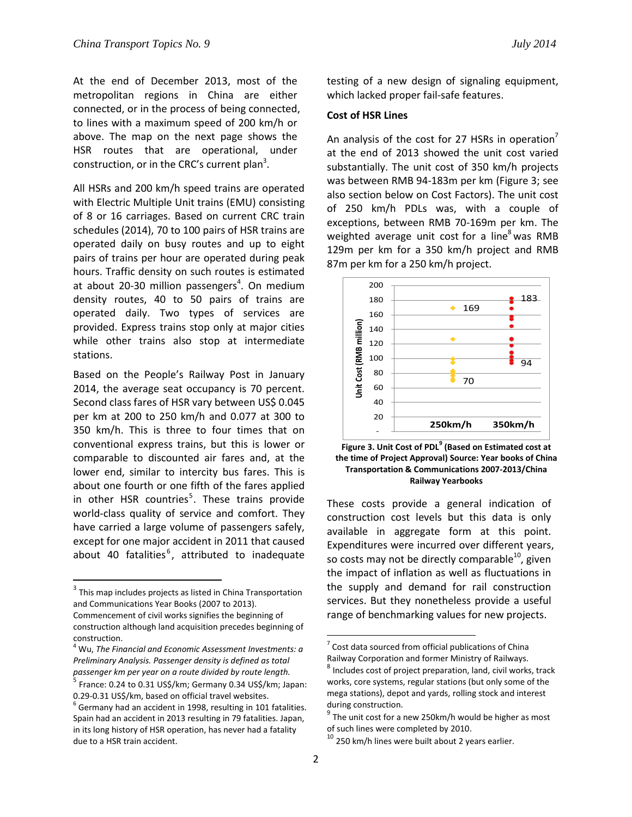At the end of December 2013, most of the metropolitan regions in China are either connected, or in the process of being connected, to lines with a maximum speed of 200 km/h or above. The map on the next page shows the HSR routes that are operational, under construction, or in the CRC's current plan<sup>3</sup>.

All HSRs and 200 km/h speed trains are operated with Electric Multiple Unit trains (EMU) consisting of 8 or 16 carriages. Based on current CRC train schedules (2014), 70 to 100 pairs of HSR trains are operated daily on busy routes and up to eight pairs of trains per hour are operated during peak hours. Traffic density on such routes is estimated at about 20-30 million passengers<sup>4</sup>. On medium density routes, 40 to 50 pairs of trains are operated daily. Two types of services are provided. Express trains stop only at major cities while other trains also stop at intermediate stations.

Based on the People's Railway Post in January 2014, the average seat occupancy is 70 percent. Second class fares of HSR vary between US\$ 0.045 per km at 200 to 250 km/h and 0.077 at 300 to 350 km/h. This is three to four times that on conventional express trains, but this is lower or comparable to discounted air fares and, at the lower end, similar to intercity bus fares. This is about one fourth or one fifth of the fares applied in other HSR countries<sup>5</sup>. These trains provide world-class quality of service and comfort. They have carried a large volume of passengers safely, except for one major accident in 2011 that caused about 40 fatalities<sup>6</sup>, attributed to inadequate

 $\overline{a}$ 

testing of a new design of signaling equipment, which lacked proper fail-safe features.

## **Cost of HSR Lines**

An analysis of the cost for 27 HSRs in operation<sup> $\prime$ </sup> at the end of 2013 showed the unit cost varied substantially. The unit cost of 350 km/h projects was between RMB 94-183m per km (Figure 3; see also section below on Cost Factors). The unit cost of 250 km/h PDLs was, with a couple of exceptions, between RMB 70-169m per km. The weighted average unit cost for a line<sup>8</sup> was RMB 129m per km for a 350 km/h project and RMB 87m per km for a 250 km/h project.



**Figure 3. Unit Cost of PDL<sup>9</sup> (Based on Estimated cost at the time of Project Approval) Source: Year books of China Transportation & Communications 2007-2013/China Railway Yearbooks**

These costs provide a general indication of construction cost levels but this data is only available in aggregate form at this point. Expenditures were incurred over different years, so costs may not be directly comparable<sup>10</sup>, given the impact of inflation as well as fluctuations in the supply and demand for rail construction services. But they nonetheless provide a useful range of benchmarking values for new projects.

 $3$  This map includes projects as listed in China Transportation and Communications Year Books (2007 to 2013). Commencement of civil works signifies the beginning of construction although land acquisition precedes beginning of construction.

<sup>4</sup> Wu, *The Financial and Economic Assessment Investments: a Preliminary Analysis. Passenger density is defined as total passenger km per year on a route divided by route length.* 

<sup>5</sup> France: 0.24 to 0.31 US\$/km; Germany 0.34 US\$/km; Japan: 0.29-0.31 US\$/km, based on official travel websites.

 $^6$  Germany had an accident in 1998, resulting in 101 fatalities. Spain had an accident in 2013 resulting in 79 fatalities. Japan, in its long history of HSR operation, has never had a fatality due to a HSR train accident.

 $7$  Cost data sourced from official publications of China Railway Corporation and former Ministry of Railways.

 $^8$  Includes cost of project preparation, land, civil works, track works, core systems, regular stations (but only some of the mega stations), depot and yards, rolling stock and interest during construction.

 $9$  The unit cost for a new 250km/h would be higher as most of such lines were completed by 2010.

 $10$  250 km/h lines were built about 2 years earlier.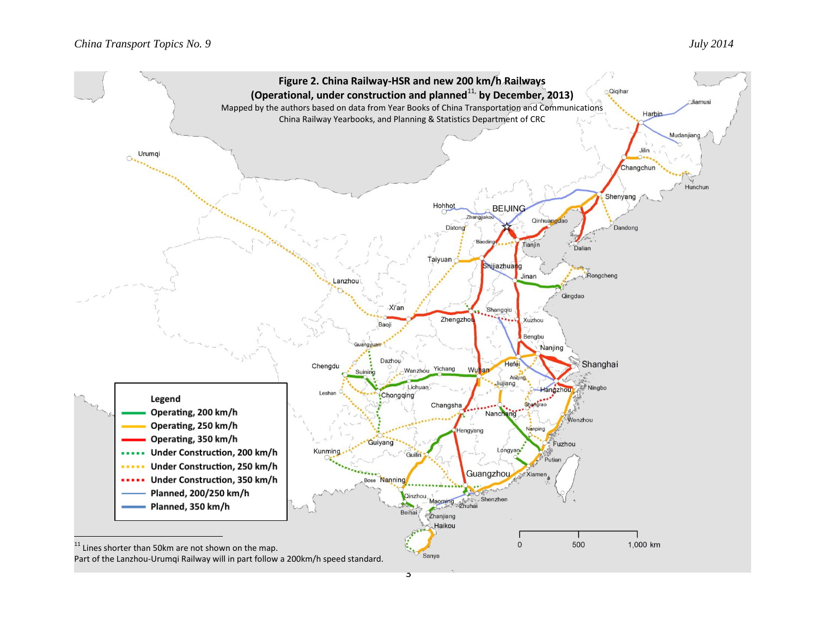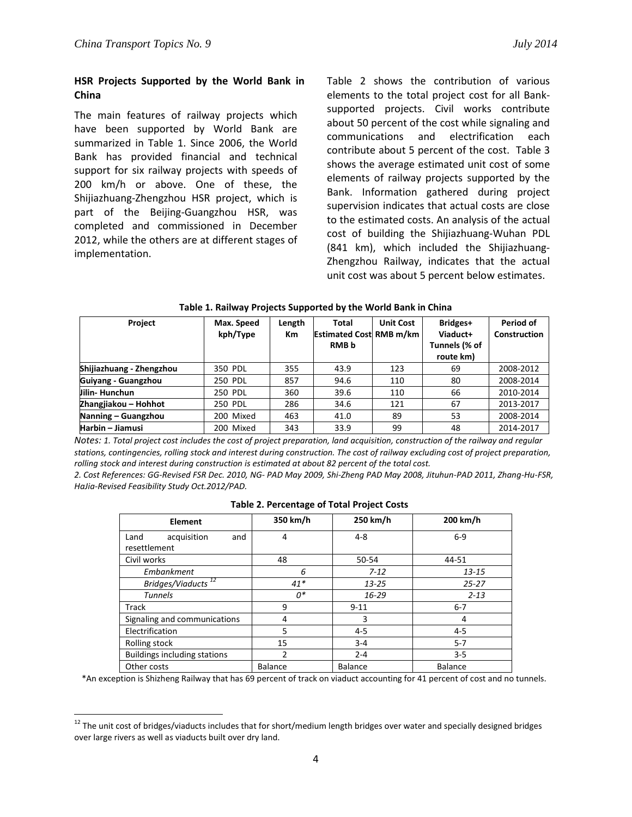$\overline{\phantom{a}}$ 

# **HSR Projects Supported by the World Bank in China**

The main features of railway projects which have been supported by World Bank are summarized in Table 1. Since 2006, the World Bank has provided financial and technical support for six railway projects with speeds of 200 km/h or above. One of these, the Shijiazhuang-Zhengzhou HSR project, which is part of the Beijing-Guangzhou HSR, was completed and commissioned in December 2012, while the others are at different stages of implementation.

Table 2 shows the contribution of various elements to the total project cost for all Banksupported projects. Civil works contribute about 50 percent of the cost while signaling and communications and electrification each contribute about 5 percent of the cost. Table 3 shows the average estimated unit cost of some elements of railway projects supported by the Bank. Information gathered during project supervision indicates that actual costs are close to the estimated costs. An analysis of the actual cost of building the Shijiazhuang-Wuhan PDL (841 km), which included the Shijiazhuang-Zhengzhou Railway, indicates that the actual unit cost was about 5 percent below estimates.

| <b>Project</b>           | Max. Speed<br>kph/Type | Length<br>Кm | Total<br><b>Estimated Cost RMB m/km</b><br><b>RMB</b> b | <b>Unit Cost</b> | Bridges+<br>Viaduct+<br>Tunnels (% of<br>route km) | Period of<br><b>Construction</b> |
|--------------------------|------------------------|--------------|---------------------------------------------------------|------------------|----------------------------------------------------|----------------------------------|
| Shijiazhuang - Zhengzhou | 350 PDL                | 355          | 43.9                                                    | 123              | 69                                                 | 2008-2012                        |
| Guiyang - Guangzhou      | 250 PDL                | 857          | 94.6                                                    | 110              | 80                                                 | 2008-2014                        |
| Jilin-Hunchun            | 250 PDL                | 360          | 39.6                                                    | 110              | 66                                                 | 2010-2014                        |
| Zhangjiakou – Hohhot     | 250 PDL                | 286          | 34.6                                                    | 121              | 67                                                 | 2013-2017                        |
| Nanning – Guangzhou      | 200 Mixed              | 463          | 41.0                                                    | 89               | 53                                                 | 2008-2014                        |
| Harbin - Jiamusi         | 200 Mixed              | 343          | 33.9                                                    | 99               | 48                                                 | 2014-2017                        |

#### **Table 1. Railway Projects Supported by the World Bank in China**

*Notes: 1. Total project cost includes the cost of project preparation, land acquisition, construction of the railway and regular stations, contingencies, rolling stock and interest during construction. The cost of railway excluding cost of project preparation, rolling stock and interest during construction is estimated at about 82 percent of the total cost.*

*2. Cost References: GG-Revised FSR Dec. 2010, NG- PAD May 2009, Shi-Zheng PAD May 2008, Jituhun-PAD 2011, Zhang-Hu-FSR, HaJia-Revised Feasibility Study Oct.2012/PAD.*

| Element                             | 350 km/h       | 250 km/h       | 200 km/h       |
|-------------------------------------|----------------|----------------|----------------|
| acquisition<br>and<br>Land          | 4              | $4 - 8$        | $6-9$          |
| resettlement                        |                |                |                |
| Civil works                         | 48             | 50-54          | 44-51          |
| Embankment                          | 6              | $7 - 12$       | $13 - 15$      |
| Bridges/Viaducts <sup>12</sup>      | $41*$          | $13 - 25$      | $25 - 27$      |
| <b>Tunnels</b>                      | $0^*$          | $16 - 29$      | $2 - 13$       |
| Track                               | 9              | $9 - 11$       | $6 - 7$        |
| Signaling and communications        | 4              | 3              | 4              |
| Electrification                     | 5              | $4 - 5$        | $4 - 5$        |
| Rolling stock                       | 15             | $3 - 4$        | $5 - 7$        |
| <b>Buildings including stations</b> | 2              | $2 - 4$        | $3 - 5$        |
| Other costs                         | <b>Balance</b> | <b>Balance</b> | <b>Balance</b> |

## **Table 2. Percentage of Total Project Costs**

\*An exception is Shizheng Railway that has 69 percent of track on viaduct accounting for 41 percent of cost and no tunnels.

<sup>&</sup>lt;sup>12</sup> The unit cost of bridges/viaducts includes that for short/medium length bridges over water and specially designed bridges over large rivers as well as viaducts built over dry land.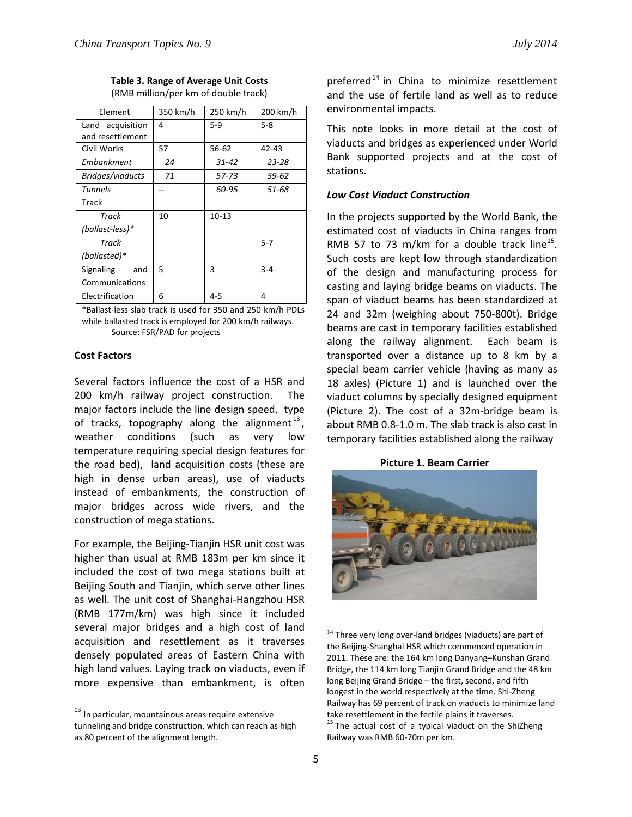| <b>Table 3. Range of Average Unit Costs</b> |
|---------------------------------------------|
| (RMB million/per km of double track)        |

| Element                              | 350 km/h | 250 km/h  | 200 km/h  |
|--------------------------------------|----------|-----------|-----------|
| Land acquisition<br>and resettlement | 4        | $5-9$     | 5-8       |
| Civil Works                          | 57       | 56-62     | $42 - 43$ |
| Embankment                           | 24       | $31 - 42$ | $23 - 28$ |
| Bridges/viaducts                     | 71       | 57-73     | 59-62     |
| Tunnels                              |          | 60-95     | 51-68     |
| Track                                |          |           |           |
| Track                                | 10       | $10 - 13$ |           |
| (ballast-less)*                      |          |           |           |
| Track                                |          |           | 5-7       |
| (ballasted)*                         |          |           |           |
| <b>Signaling</b><br>and              | 5        | 3         | $3 - 4$   |
| Communications                       |          |           |           |
| Electrification                      | 6        | $4 - 5$   | 4         |

\*Ballast-less slab track is used for 350 and 250 km/h PDLs while ballasted track is employed for 200 km/h railways. Source: FSR/PAD for projects

## **Cost Factors**

 $\overline{a}$ 

Several factors influence the cost of a HSR and 200 km/h railway project construction. The major factors include the line design speed, type of tracks, topography along the alignment<sup>13</sup>, weather conditions (such as very low temperature requiring special design features for the road bed), land acquisition costs (these are high in dense urban areas), use of viaducts instead of embankments, the construction of major bridges across wide rivers, and the construction of mega stations.

For example, the Beijing-Tianjin HSR unit cost was higher than usual at RMB 183m per km since it included the cost of two mega stations built at Beijing South and Tianjin, which serve other lines as well. The unit cost of Shanghai-Hangzhou HSR (RMB 177m/km) was high since it included several major bridges and a high cost of land acquisition and resettlement as it traverses densely populated areas of Eastern China with high land values. Laying track on viaducts, even if more expensive than embankment, is often preferred<sup>14</sup> in China to minimize resettlement and the use of fertile land as well as to reduce environmental impacts.

This note looks in more detail at the cost of viaducts and bridges as experienced under World Bank supported projects and at the cost of stations.

## *Low Cost Viaduct Construction*

In the projects supported by the World Bank, the estimated cost of viaducts in China ranges from RMB 57 to 73 m/km for a double track line<sup>15</sup>. Such costs are kept low through standardization of the design and manufacturing process for casting and laying bridge beams on viaducts. The span of viaduct beams has been standardized at 24 and 32m (weighing about 750-800t). Bridge beams are cast in temporary facilities established along the railway alignment. Each beam is transported over a distance up to 8 km by a special beam carrier vehicle (having as many as 18 axles) (Picture 1) and is launched over the viaduct columns by specially designed equipment (Picture 2). The cost of a 32m-bridge beam is about RMB 0.8-1.0 m. The slab track is also cast in temporary facilities established along the railway

**Picture 1. Beam Carrier**



 $\overline{a}$  $14$  Three very long over-land bridges (viaducts) are part of the Beijing-Shanghai HSR which commenced operation in 2011. These are: the 164 km long Danyang–Kunshan Grand Bridge, the 114 km long Tianjin Grand Bridge and the 48 km long Beijing Grand Bridge – the first, second, and fifth longest in the world respectively at the time. Shi-Zheng Railway has 69 percent of track on viaducts to minimize land take resettlement in the fertile plains it traverses. <sup>15</sup> The actual cost of a typical viaduct on the ShiZheng Railway was RMB 60-70m per km.

 $^{13}$  In particular, mountainous areas require extensive tunneling and bridge construction, which can reach as high as 80 percent of the alignment length.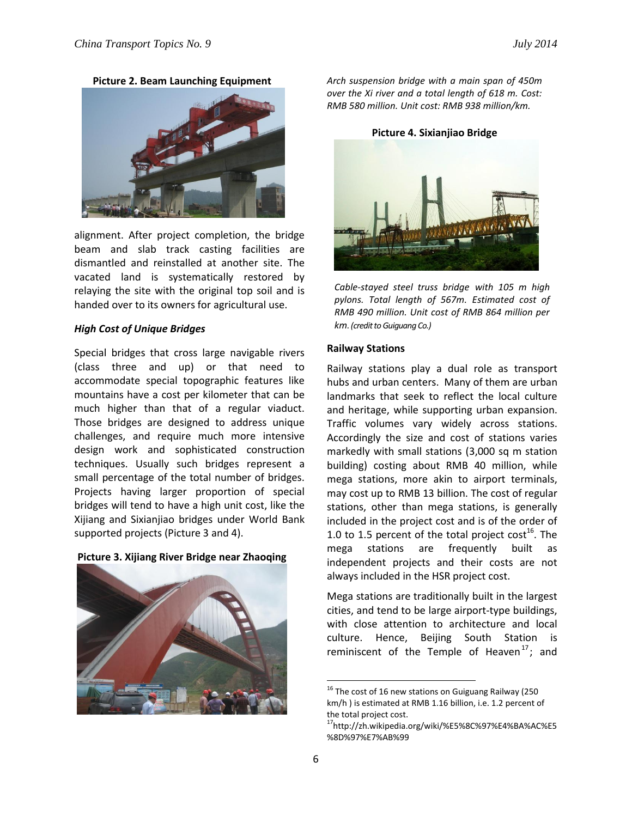**Picture 2. Beam Launching Equipment**



alignment. After project completion, the bridge beam and slab track casting facilities are dismantled and reinstalled at another site. The vacated land is systematically restored by relaying the site with the original top soil and is handed over to its owners for agricultural use.

## *High Cost of Unique Bridges*

Special bridges that cross large navigable rivers (class three and up) or that need to accommodate special topographic features like mountains have a cost per kilometer that can be much higher than that of a regular viaduct. Those bridges are designed to address unique challenges, and require much more intensive design work and sophisticated construction techniques. Usually such bridges represent a small percentage of the total number of bridges. Projects having larger proportion of special bridges will tend to have a high unit cost, like the Xijiang and Sixianjiao bridges under World Bank supported projects (Picture 3 and 4).

## **Picture 3. Xijiang River Bridge near Zhaoqing**



*Arch suspension bridge with a main span of 450m over the Xi river and a total length of 618 m. Cost: RMB 580 million. Unit cost: RMB 938 million/km.*

**Picture 4. Sixianjiao Bridge**



*Cable-stayed steel truss bridge with 105 m high pylons. Total length of 567m. Estimated cost of RMB 490 million. Unit cost of RMB 864 million per km. (credit to Guiguang Co.)*

#### **Railway Stations**

Railway stations play a dual role as transport hubs and urban centers. Many of them are urban landmarks that seek to reflect the local culture and heritage, while supporting urban expansion. Traffic volumes vary widely across stations. Accordingly the size and cost of stations varies markedly with small stations (3,000 sq m station building) costing about RMB 40 million, while mega stations, more akin to airport terminals, may cost up to RMB 13 billion. The cost of regular stations, other than mega stations, is generally included in the project cost and is of the order of 1.0 to 1.5 percent of the total project cost<sup>16</sup>. The mega stations are frequently built as independent projects and their costs are not always included in the HSR project cost.

Mega stations are traditionally built in the largest cities, and tend to be large airport-type buildings, with close attention to architecture and local culture. Hence, Beijing South Station is reminiscent of the Temple of Heaven<sup>17</sup>; and

<sup>&</sup>lt;sup>16</sup> The cost of 16 new stations on Guiguang Railway (250 km/h ) is estimated at RMB 1.16 billion, i.e. 1.2 percent of the total project cost.

<sup>17</sup>http://zh.wikipedia.org/wiki/%E5%8C%97%E4%BA%AC%E5 %8D%97%E7%AB%99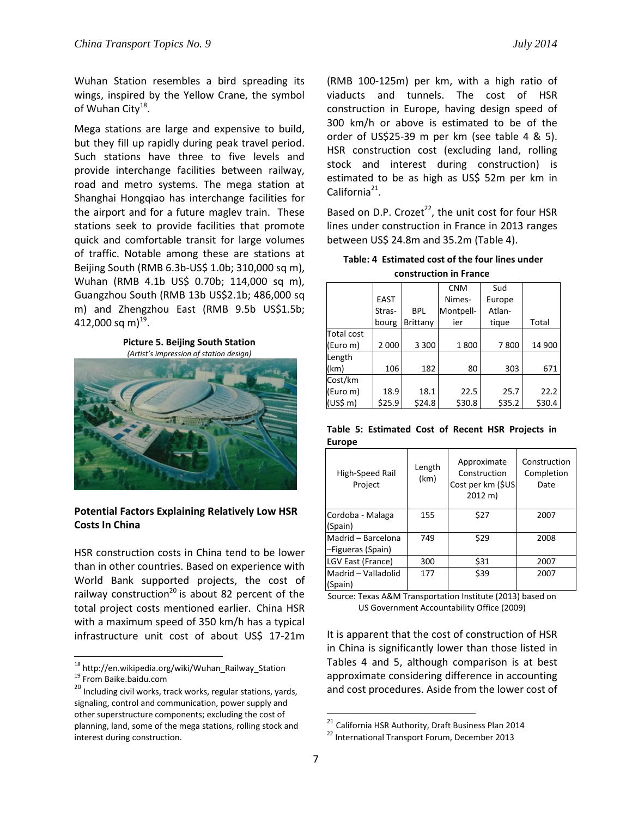Wuhan Station resembles a bird spreading its wings, inspired by the Yellow Crane, the symbol of Wuhan City<sup>18</sup>.

Mega stations are large and expensive to build, but they fill up rapidly during peak travel period. Such stations have three to five levels and provide interchange facilities between railway, road and metro systems. The mega station at Shanghai Hongqiao has interchange facilities for the airport and for a future maglev train. These stations seek to provide facilities that promote quick and comfortable transit for large volumes of traffic. Notable among these are stations at Beijing South (RMB 6.3b-US\$ 1.0b; 310,000 sq m), Wuhan (RMB 4.1b US\$ 0.70b; 114,000 sq m), Guangzhou South (RMB 13b US\$2.1b; 486,000 sq m) and Zhengzhou East (RMB 9.5b US\$1.5b; 412,000 sq m)<sup>19</sup>.

**Picture 5. Beijing South Station** *(Artist's impression of station design)*



# **Potential Factors Explaining Relatively Low HSR Costs In China**

HSR construction costs in China tend to be lower than in other countries. Based on experience with World Bank supported projects, the cost of railway construction<sup>20</sup> is about 82 percent of the total project costs mentioned earlier. China HSR with a maximum speed of 350 km/h has a typical infrastructure unit cost of about US\$ 17-21m

 $\overline{\phantom{a}}$ 

(RMB 100-125m) per km, with a high ratio of viaducts and tunnels. The cost of HSR construction in Europe, having design speed of 300 km/h or above is estimated to be of the order of US\$25-39 m per km (see table 4 & 5). HSR construction cost (excluding land, rolling stock and interest during construction) is estimated to be as high as US\$ 52m per km in California<sup>21</sup>.

Based on D.P. Crozet $^{22}$ , the unit cost for four HSR lines under construction in France in 2013 ranges between US\$ 24.8m and 35.2m (Table 4).

| Table: 4 Estimated cost of the four lines under |
|-------------------------------------------------|
| construction in France                          |

|                   |             |            | <b>CNM</b> | Sud    |        |
|-------------------|-------------|------------|------------|--------|--------|
|                   | <b>EAST</b> |            | Nimes-     | Europe |        |
|                   | Stras-      | <b>BPL</b> | Montpell-  | Atlan- |        |
|                   | bourg       | Brittany   | ier        | tique  | Total  |
| <b>Total cost</b> |             |            |            |        |        |
| (Euro m)          | 2 0 0 0     | 3 3 0 0    | 1800       | 7800   | 14 900 |
| Length            |             |            |            |        |        |
| (km)              | 106         | 182        | 80         | 303    | 671    |
| Cost/km           |             |            |            |        |        |
| (Euro m)          | 18.9        | 18.1       | 22.5       | 25.7   | 22.2   |
| (US\$m)           | \$25.9      | \$24.8     | \$30.8     | \$35.2 | \$30.4 |

**Table 5: Estimated Cost of Recent HSR Projects in Europe** 

| High-Speed Rail<br>Project     | Length<br>(km) | Approximate<br>Construction<br>Cost per km (\$US)<br>$2012 \text{ m}$ | Construction<br>Completion<br>Date |
|--------------------------------|----------------|-----------------------------------------------------------------------|------------------------------------|
| Cordoba - Malaga               | 155            | \$27                                                                  | 2007                               |
| (Spain)                        |                |                                                                       |                                    |
| Madrid - Barcelona             | 749            | \$29                                                                  | 2008                               |
| -Figueras (Spain)              |                |                                                                       |                                    |
| LGV East (France)              | 300            | \$31                                                                  | 2007                               |
| Madrid - Valladolid<br>(Spain) | 177            | \$39                                                                  | 2007                               |

Source: Texas A&M Transportation Institute (2013) based on US Government Accountability Office (2009)

It is apparent that the cost of construction of HSR in China is significantly lower than those listed in Tables 4 and 5, although comparison is at best approximate considering difference in accounting and cost procedures. Aside from the lower cost of

<sup>&</sup>lt;sup>18</sup> http://en.wikipedia.org/wiki/Wuhan\_Railway\_Station <sup>19</sup> From Baike.baidu.com

<sup>&</sup>lt;sup>20</sup> Including civil works, track works, regular stations, yards, signaling, control and communication, power supply and other superstructure components; excluding the cost of planning, land, some of the mega stations, rolling stock and interest during construction.

<sup>&</sup>lt;sup>21</sup> California HSR Authority, Draft Business Plan 2014

<sup>&</sup>lt;sup>22</sup> International Transport Forum, December 2013